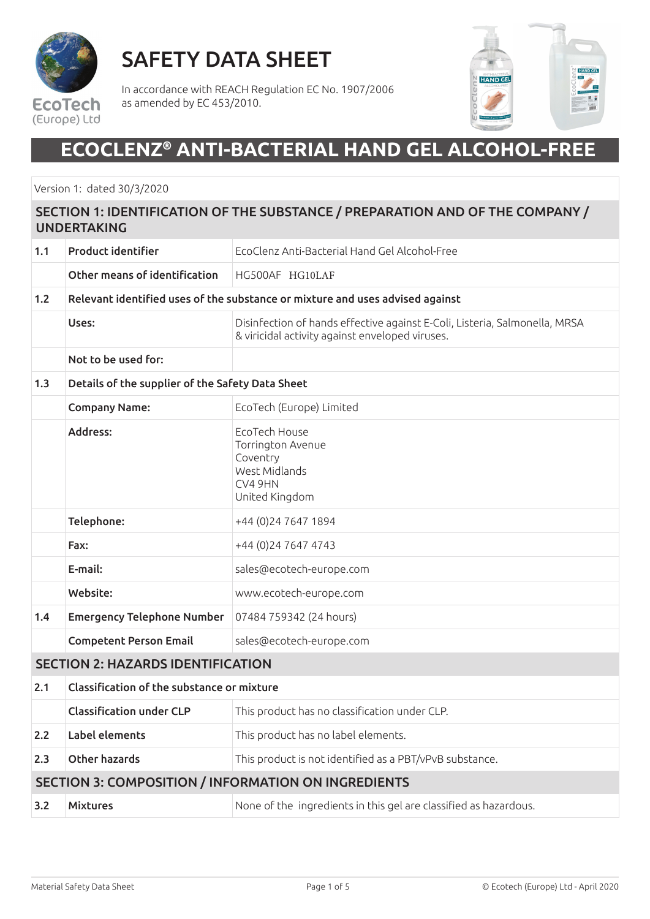

## SAFETY DATA SHEET

In accordance with REACH Regulation EC No. 1907/2006 as amended by EC 453/2010.



## **ECOCLENZ® ANTI-BACTERIAL HAND GEL ALCOHOL-FREE**

Version 1: dated 30/3/2020

### SECTION 1: IDENTIFICATION OF THE SUBSTANCE / PREPARATION AND OF THE COMPANY / UNDERTAKING 1.1 Product identifier EcoClenz Anti-Bacterial Hand Gel Alcohol-Free Other means of identification HG500AF HG10LAF 1.2 Relevant identified uses of the substance or mixture and uses advised against Uses: Disinfection of hands effective against E-Coli, Listeria, Salmonella, MRSA & viricidal activity against enveloped viruses. Not to be used for: 1.3 Details of the supplier of the Safety Data Sheet Company Name: EcoTech (Europe) Limited Address: EcoTech House Torrington Avenue Coventry West Midlands CV4 9HN United Kingdom Telephone: +44 (0)24 7647 1894 **Fax:**  $+44(0)2476474743$ E-mail: sales@ecotech-europe.com Website: www.ecotech-europe.com 1.4 Emergency Telephone Number 07484 759342 (24 hours) Competent Person Email sales@ecotech-europe.com SECTION 2: HAZARDS IDENTIFICATION 2.1 Classification of the substance or mixture Classification under CLP This product has no classification under CLP. 2.2 **Label elements** This product has no label elements. 2.3 Other hazards **This product is not identified as a PBT/vPvB substance.** SECTION 3: COMPOSITION / INFORMATION ON INGREDIENTS **3.2 Mixtures** Mone of the ingredients in this gel are classified as hazardous.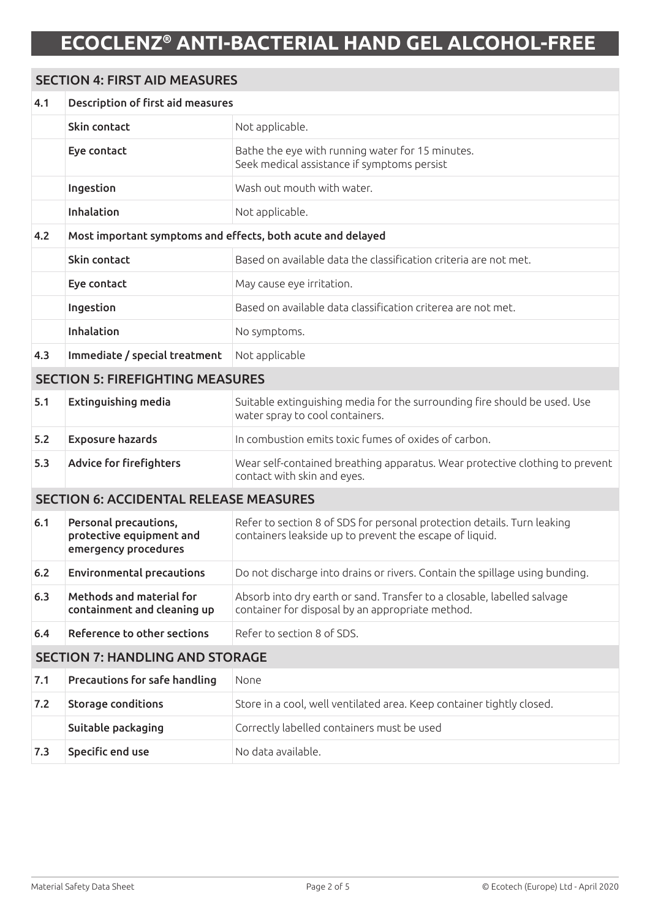### SECTION 4: FIRST AID MEASURES 4.1 Description of first aid measures Skin contact Not applicable. Eye contact **Exercise Exercise the exercise tells** Bathe the eye with running water for 15 minutes. Seek medical assistance if symptoms persist Ingestion **Wash out mouth with water.** Inhalation Not applicable. 4.2 Most important symptoms and effects, both acute and delayed **Skin contact** Based on available data the classification criteria are not met. **Eve contact** May cause eve irritation. Ingestion Based on available data classification criterea are not met. Inhalation No symptoms. 4.3 Immediate / special treatment Not applicable SECTION 5: FIREFIGHTING MEASURES **5.1 Extinguishing media** Suitable extinguishing media for the surrounding fire should be used. Use water spray to cool containers. **5.2 Exposure hazards In combustion emits toxic fumes of oxides of carbon.** 5.3 Advice for firefighters Wear self-contained breathing apparatus. Wear protective clothing to prevent contact with skin and eyes. SECTION 6: ACCIDENTAL RELEASE MEASURES 6.1 Personal precautions, protective equipment and emergency procedures Refer to section 8 of SDS for personal protection details. Turn leaking containers leakside up to prevent the escape of liquid. 6.2 Environmental precautions Do not discharge into drains or rivers. Contain the spillage using bunding. 6.3 Methods and material for containment and cleaning up Absorb into dry earth or sand. Transfer to a closable, labelled salvage container for disposal by an appropriate method. 6.4 Reference to other sections Refer to section 8 of SDS. SECTION 7: HANDLING AND STORAGE 7.1 **Precautions for safe handling** None 7.2 Storage conditions Store in a cool, well ventilated area. Keep container tightly closed. **Suitable packaging** Correctly labelled containers must be used **7.3** Specific end use No data available.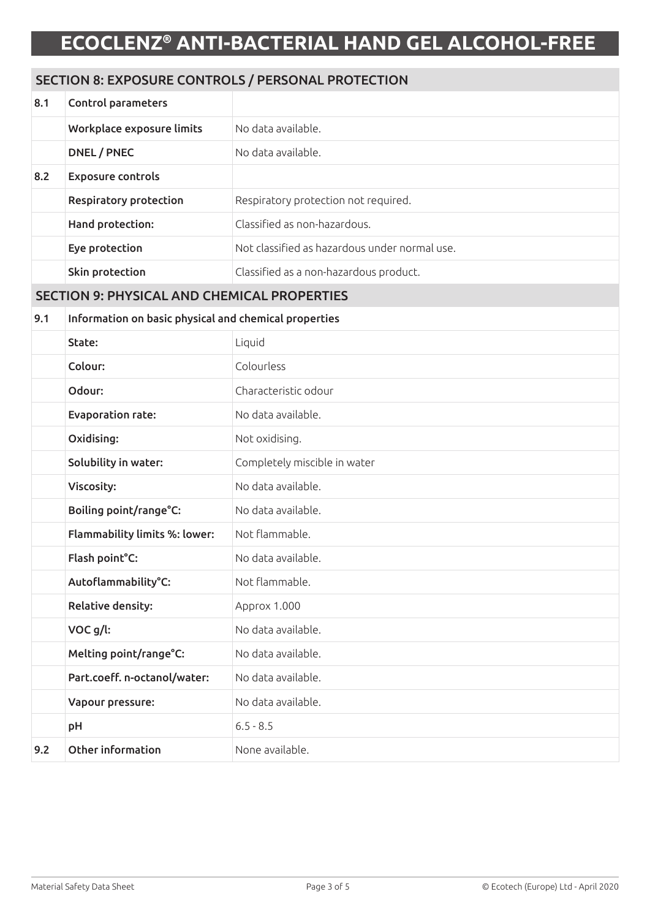### SECTION 8: EXPOSURE CONTROLS / PERSONAL PROTECTION

| 8.1 | Control parameters                                    |                                               |  |
|-----|-------------------------------------------------------|-----------------------------------------------|--|
|     | Workplace exposure limits                             | No data available.                            |  |
|     | DNEL / PNEC                                           | No data available.                            |  |
| 8.2 | <b>Exposure controls</b>                              |                                               |  |
|     | <b>Respiratory protection</b>                         | Respiratory protection not required.          |  |
|     | Hand protection:                                      | Classified as non-hazardous.                  |  |
|     | Eye protection                                        | Not classified as hazardous under normal use. |  |
|     | Skin protection                                       | Classified as a non-hazardous product.        |  |
|     | <b>SECTION 9: PHYSICAL AND CHEMICAL PROPERTIES</b>    |                                               |  |
| 9.1 | Information on basic physical and chemical properties |                                               |  |
|     | State:                                                | Liquid                                        |  |
|     | Colour:                                               | Colourless                                    |  |
|     | Odour:                                                | Characteristic odour                          |  |
|     | <b>Evaporation rate:</b>                              | No data available.                            |  |
|     | Oxidising:                                            | Not oxidising.                                |  |
|     | Solubility in water:                                  | Completely miscible in water                  |  |
|     | Viscosity:                                            | No data available.                            |  |
|     | Boiling point/range°C:                                | No data available.                            |  |
|     | Flammability limits %: lower:                         | Not flammable.                                |  |
|     | Flash point°C:                                        | No data available.                            |  |
|     | Autoflammability°C:                                   | Not flammable.                                |  |
|     | <b>Relative density:</b>                              | Арргох 1.000                                  |  |
|     | VOC g/l:                                              | No data available.                            |  |
|     | Melting point/range°C:                                | No data available.                            |  |
|     | Part.coeff. n-octanol/water:                          | No data available.                            |  |
|     | Vapour pressure:                                      | No data available.                            |  |
|     | pH                                                    | $6.5 - 8.5$                                   |  |
| 9.2 | Other information                                     | None available.                               |  |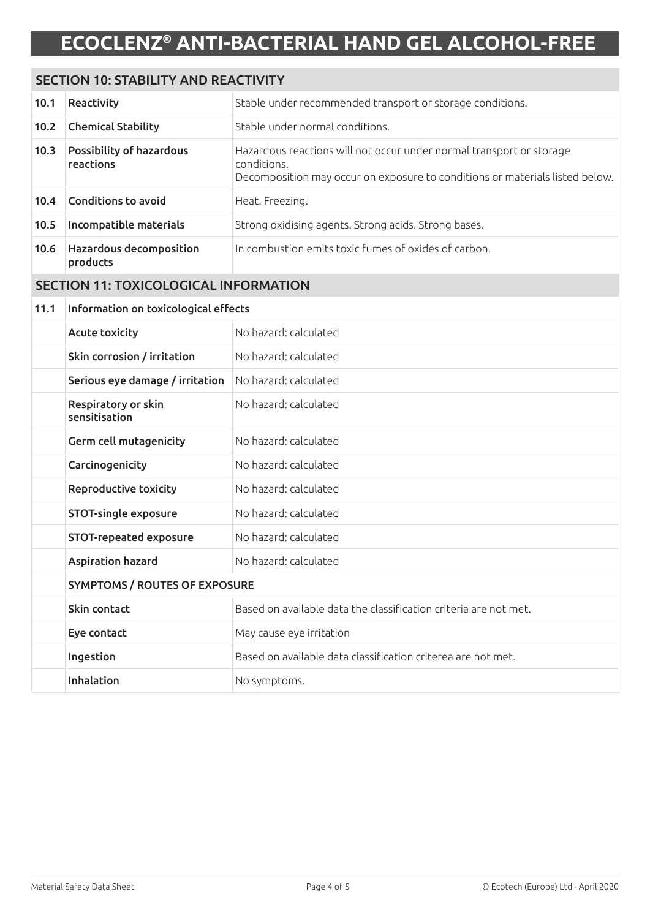#### SECTION 10: STABILITY AND REACTIVITY

| 10.1 | Reactivity                                   | Stable under recommended transport or storage conditions.                                                                                                           |
|------|----------------------------------------------|---------------------------------------------------------------------------------------------------------------------------------------------------------------------|
| 10.2 | <b>Chemical Stability</b>                    | Stable under normal conditions.                                                                                                                                     |
| 10.3 | <b>Possibility of hazardous</b><br>reactions | Hazardous reactions will not occur under normal transport or storage<br>conditions.<br>Decomposition may occur on exposure to conditions or materials listed below. |
| 10.4 | <b>Conditions to avoid</b>                   | Heat. Freezing.                                                                                                                                                     |
| 10.5 | Incompatible materials                       | Strong oxidising agents. Strong acids. Strong bases.                                                                                                                |
| 10.6 | <b>Hazardous decomposition</b><br>products   | In combustion emits toxic fumes of oxides of carbon.                                                                                                                |

### SECTION 11: TOXICOLOGICAL INFORMATION

#### 11.1 Information on toxicological effects

| <b>Acute toxicity</b>                | No hazard: calculated                                            |  |
|--------------------------------------|------------------------------------------------------------------|--|
| Skin corrosion / irritation          | No hazard: calculated                                            |  |
| Serious eye damage / irritation      | No hazard: calculated                                            |  |
| Respiratory or skin<br>sensitisation | No hazard: calculated                                            |  |
| <b>Germ cell mutagenicity</b>        | No hazard: calculated                                            |  |
| Carcinogenicity                      | No hazard: calculated                                            |  |
| <b>Reproductive toxicity</b>         | No hazard: calculated                                            |  |
| <b>STOT-single exposure</b>          | No hazard: calculated                                            |  |
| STOT-repeated exposure               | No hazard: calculated                                            |  |
| <b>Aspiration hazard</b>             | No hazard: calculated                                            |  |
| <b>SYMPTOMS / ROUTES OF EXPOSURE</b> |                                                                  |  |
| Skin contact                         | Based on available data the classification criteria are not met. |  |
| Eye contact                          | May cause eye irritation                                         |  |
| Ingestion                            | Based on available data classification criterea are not met.     |  |
| Inhalation                           | No symptoms.                                                     |  |